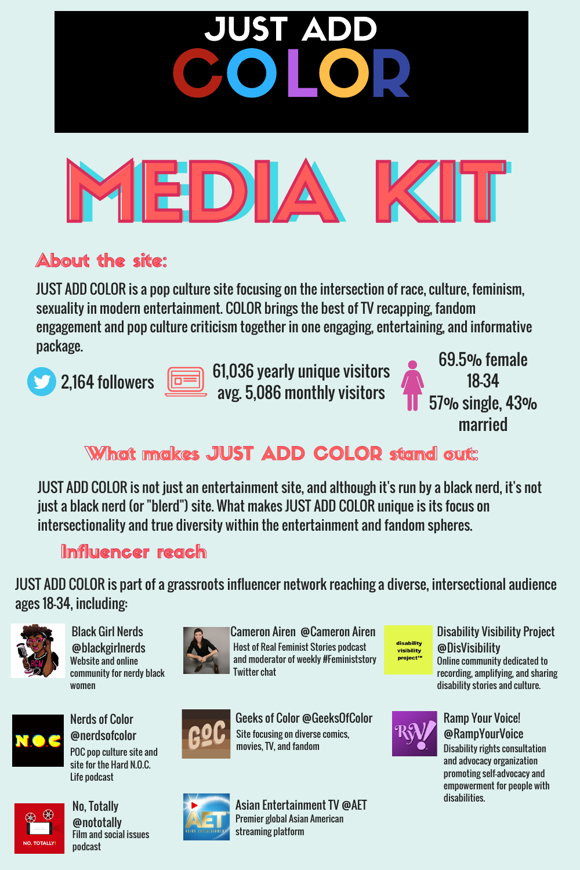MEDIA

ST A

COLOR

#### About the site:

JUST ADD COLOR is a pop culture site focusing on the intersection of race, culture, feminism, sexuality in modern entertainment. COLOR brings the best of TV recapping, fandom engagement and pop culture criticism together in one engaging, entertaining, and informative package.





61,036 yearly unique visitors avg. 5,086 monthly visitors

69.5% female 18-34 57% single, 43% married

#### What makes JUST ADD COLOR stand out:

JUST ADD COLOR is not just an entertainment site, and although it's run by a black nerd, it's not just a black nerd (or "blerd") site. What makes JUST ADD COLOR unique is its focus on intersectionality and true diversity within the entertainment and fandom spheres.

Influencer reach

JUST ADD COLOR is part of a grassroots influencer network reaching a diverse, intersectional audience ages 18-34, including:



Black Girl Nerds @blackgirlnerds Website and online community for nerdy black women



Nerds of Color @nerdsofcolor POC pop culture site and site for the Hard N.O.C. Life podcast



No, Totally @nototally Film and social issues podcast







Geeks of Color @GeeksOfColor Site focusing on diverse comics, movies, TV, and fandom



disability visibility project™

#### @DisVisibility Online community dedicated to recording, amplifying, and sharing disability stories and culture.

Disability Visibility Project



#### Ramp Your Voice! @RampYourVoice

Disability rights consultation and advocacy organization promoting self-advocacy and empowerment for people with disabilities.



Asian Entertainment TV @AET Premier global Asian American streaming platform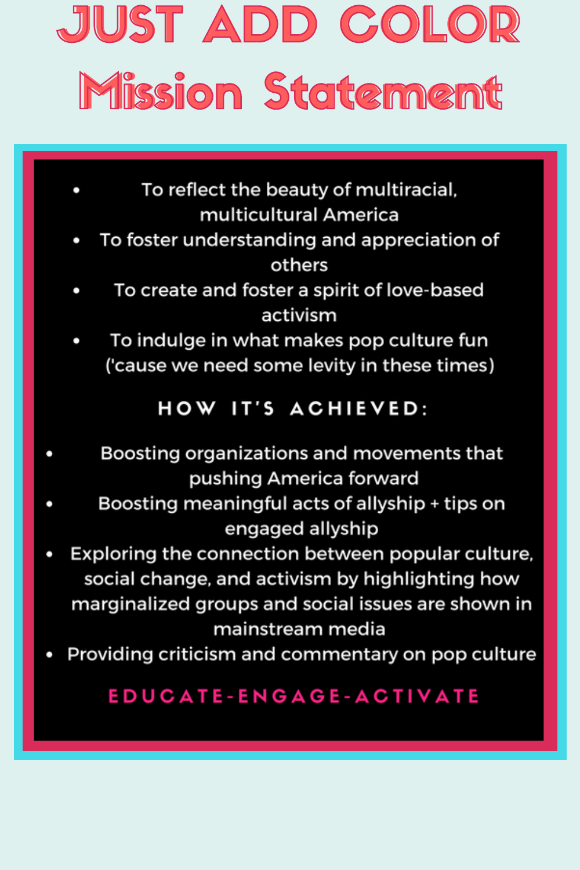### JUST ADD COLOR Mission Statement

- To reflect the beauty of multiracial, multicultural America
- To foster understanding and appreciation of others
- To create and foster a spirit of love-based activism
- To indulge in what makes pop culture fun ('cause we need some levity in these times)

### HOW IT'S ACHIEVED:

- Boosting organizations and movements that pushing America forward
- Boosting meaningful acts of allyship + tips on engaged allyship
- Exploring the connection between popular culture, social change, and activism by highlighting how marginalized groups and social issues are shown in mainstream media
- Providing criticism and commentary on pop culture

#### EDUCATE-ENGAGE-ACTIVATE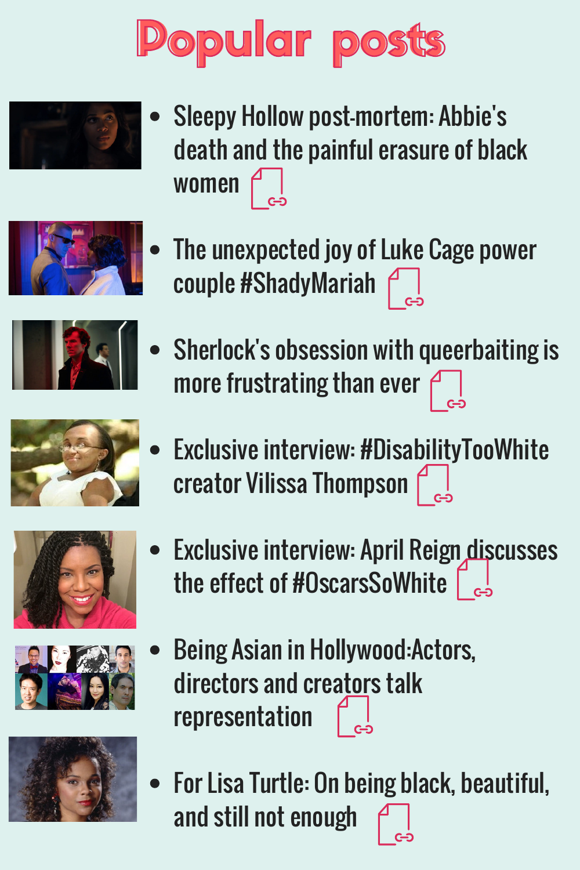## Popular posts



Sleepy Hollow post-mortem: Abbie ' s death and the painful erasure of black women





couple #ShadyMariah Sherlock' s obsession with queerbaiting is

more frustrating than ever  $\bigcap$ 

The unexpected joy of Luke Cage power



Exclusive interview: #Disa[bility](http://colorwebmag.com/2016/05/24/exclusive-interview-disabilitytoowhite-creator-vilissa-thompson/)TooWhite **creator Vilissa Thompson Post** 





- Exclusive interview: April Reign [disc](http://colorwebmag.com/2016/01/25/exclusive-interview-april-reign-discusses-the-effect-of-oscarssowhite/)usses the effect of #OscarsSoWhite  $\lceil \frac{1}{65} \rceil$
- Being Asian in Hollywood:Actors, directors and cre[ators](http://colorwebmag.com/2016/11/20/being-asian-in-hollywood-actors-directors-and-creators-talk-representation/) talk representation
- For Lisa Turtle: On being black, beautiful, and still not enough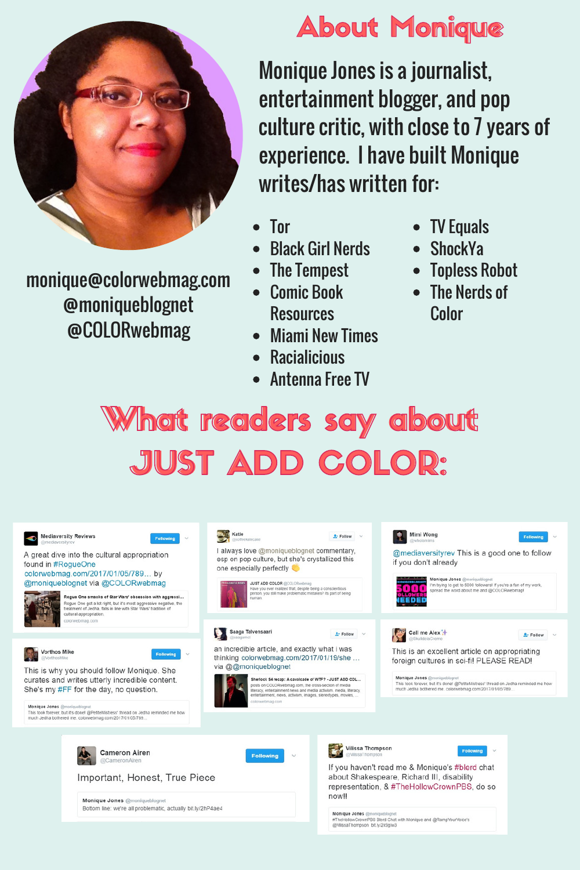

monique@colorwebmag.com @moniqueblognet @COLORwebmag

### **About Monique**

Monique Jones is a journalist, entertainment blogger, and pop culture critic, with close to 7 years of experience. I have built Monique writes/has written for:

- Tor
- Black Girl Nerds
- The Tempest
- Comic Book **Resources**
- Miami New Times
- **Racialicious**
- Antenna Free TV
- TV Equals
- **ShockYa**
- Topless Robot
- The Nerds of Color

### What readers say about JUST ADD COLOR: